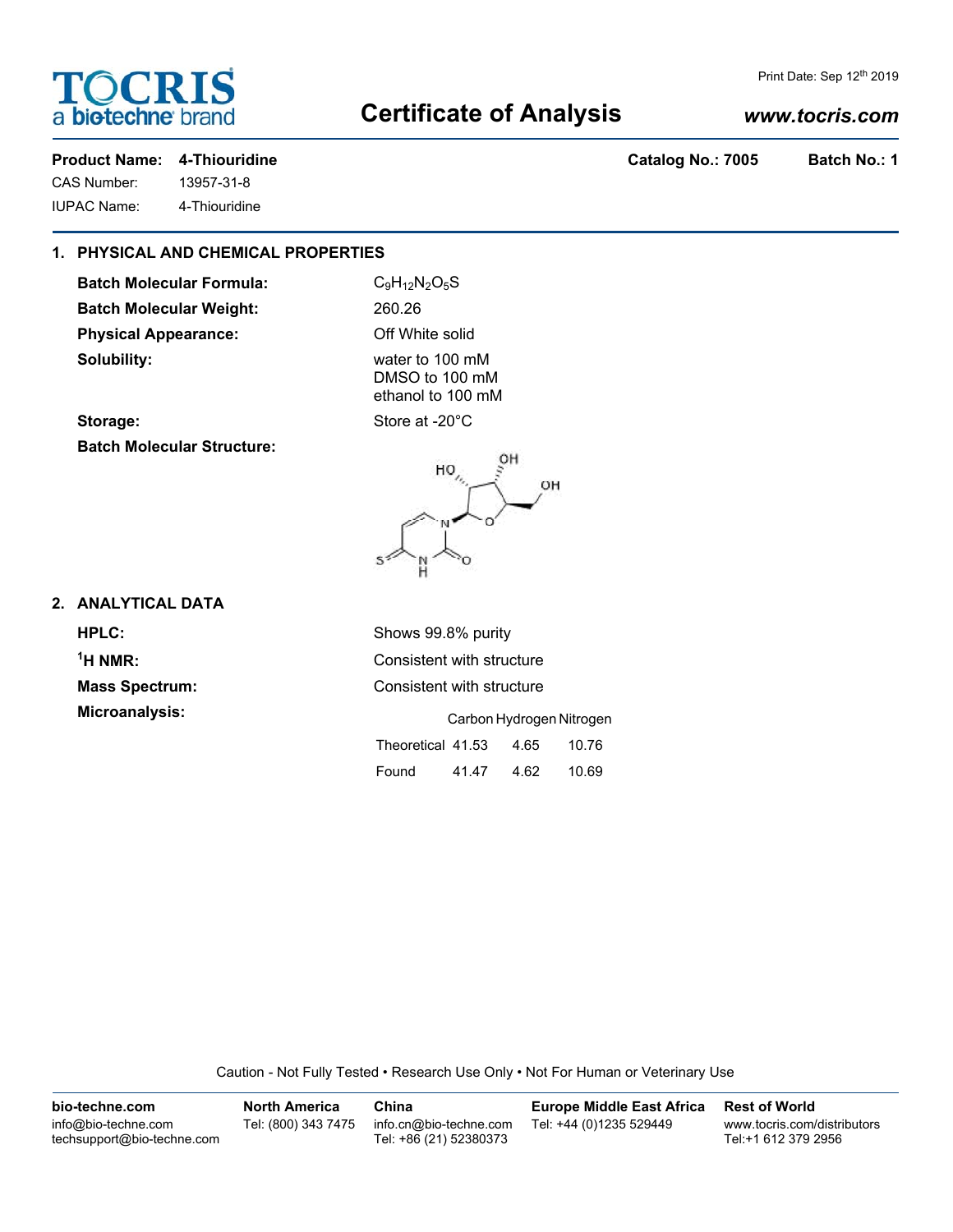

### Print Date: Sep 12th 2019

## **Certificate of Analysis**

### *www.tocris.com*

**Product Name: 4-Thiouridine Catalog No.: 7005 Batch No.: 1** 

CAS Number: 13957-31-8

IUPAC Name: 4-Thiouridine

### **1. PHYSICAL AND CHEMICAL PROPERTIES**

Batch Molecular Formula: C<sub>9</sub>H<sub>12</sub>N<sub>2</sub>O<sub>5</sub>S **Batch Molecular Weight:** 260.26 **Physical Appearance:** Off White solid **Solubility:** water to 100 mM

DMSO to 100 mM ethanol to 100 mM

Storage: Store at -20°C **Batch Molecular Structure:**



**2. ANALYTICAL DATA**

**HPLC:** Shows 99.8% purity <sup>1</sup>H NMR:

**Consistent with structure Mass Spectrum:** Consistent with structure

**Microanalysis:** Carbon Hydrogen Nitrogen Theoretical 41.53 4.65 10.76

| .     | .     |      | .     |
|-------|-------|------|-------|
| Found | 41.47 | 4.62 | 10.69 |

Caution - Not Fully Tested • Research Use Only • Not For Human or Veterinary Use

| bio-techne.com                                    | <b>North America</b> | China                                            | <b>Europe Middle East Africa</b> | <b>Rest of World</b>                               |
|---------------------------------------------------|----------------------|--------------------------------------------------|----------------------------------|----------------------------------------------------|
| info@bio-techne.com<br>techsupport@bio-techne.com | Tel: (800) 343 7475  | info.cn@bio-techne.com<br>Tel: +86 (21) 52380373 | Tel: +44 (0)1235 529449          | www.tocris.com/distributors<br>Tel:+1 612 379 2956 |